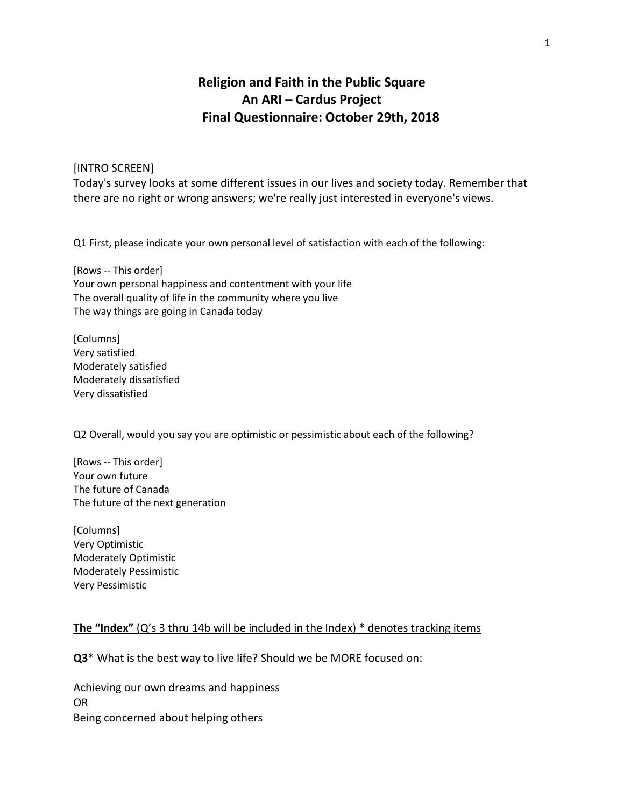# **Religion and Faith in the Public Square An ARI – Cardus Project Final Questionnaire: October 29th, 2018**

## [INTRO SCREEN]

Today's survey looks at some different issues in our lives and society today. Remember that there are no right or wrong answers; we're really just interested in everyone's views.

Q1 First, please indicate your own personal level of satisfaction with each of the following:

[Rows -- This order] Your own personal happiness and contentment with your life The overall quality of life in the community where you live The way things are going in Canada today

[Columns] Very satisfied Moderately satisfied Moderately dissatisfied Very dissatisfied

Q2 Overall, would you say you are optimistic or pessimistic about each of the following?

[Rows -- This order] Your own future The future of Canada The future of the next generation

[Columns] Very Optimistic Moderately Optimistic Moderately Pessimistic Very Pessimistic

## **The "Index"** (Q's 3 thru 14b will be included in the Index) \* denotes tracking items

**Q3**\* What is the best way to live life? Should we be MORE focused on:

Achieving our own dreams and happiness OR Being concerned about helping others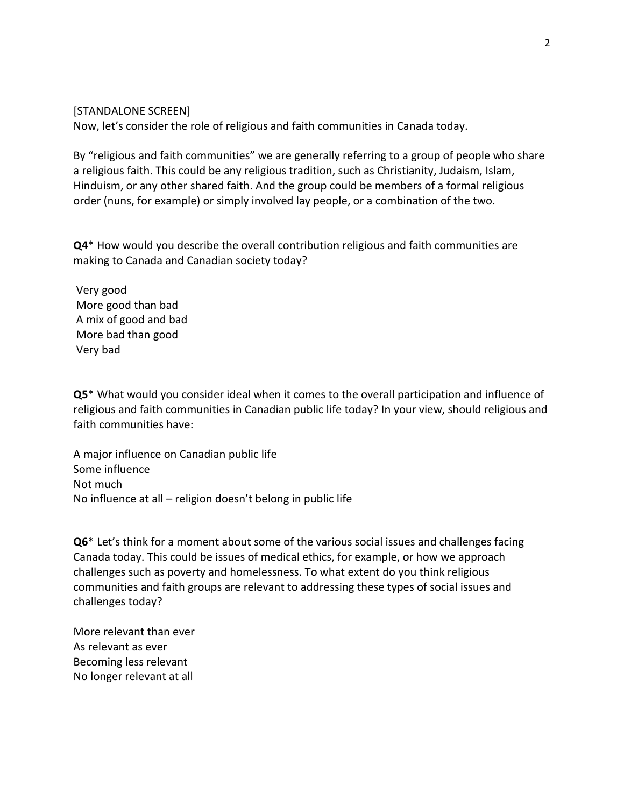## [STANDALONE SCREEN]

Now, let's consider the role of religious and faith communities in Canada today.

By "religious and faith communities" we are generally referring to a group of people who share a religious faith. This could be any religious tradition, such as Christianity, Judaism, Islam, Hinduism, or any other shared faith. And the group could be members of a formal religious order (nuns, for example) or simply involved lay people, or a combination of the two.

**Q4**\* How would you describe the overall contribution religious and faith communities are making to Canada and Canadian society today?

Very good More good than bad A mix of good and bad More bad than good Very bad

**Q5**\* What would you consider ideal when it comes to the overall participation and influence of religious and faith communities in Canadian public life today? In your view, should religious and faith communities have:

A major influence on Canadian public life Some influence Not much No influence at all – religion doesn't belong in public life

**Q6**\* Let's think for a moment about some of the various social issues and challenges facing Canada today. This could be issues of medical ethics, for example, or how we approach challenges such as poverty and homelessness. To what extent do you think religious communities and faith groups are relevant to addressing these types of social issues and challenges today?

More relevant than ever As relevant as ever Becoming less relevant No longer relevant at all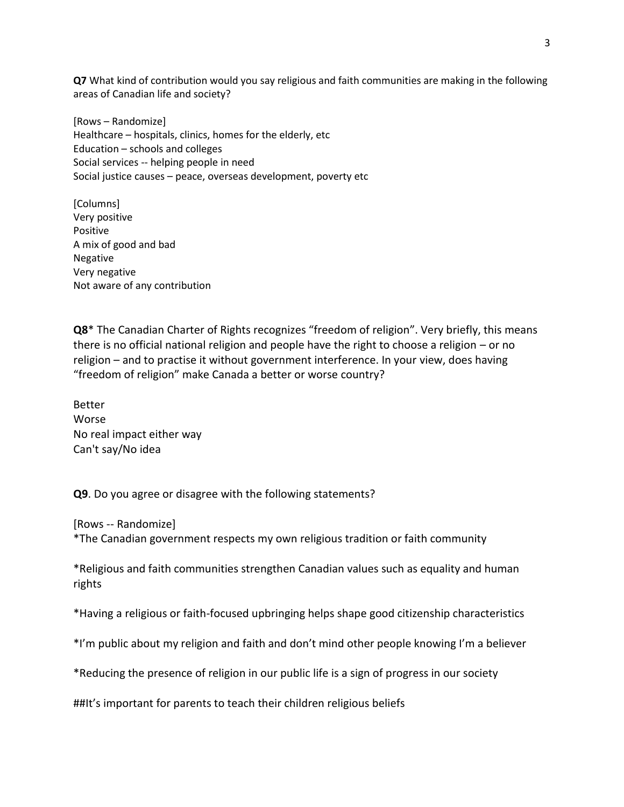**Q7** What kind of contribution would you say religious and faith communities are making in the following areas of Canadian life and society?

[Rows – Randomize] Healthcare – hospitals, clinics, homes for the elderly, etc Education – schools and colleges Social services -- helping people in need Social justice causes – peace, overseas development, poverty etc

[Columns] Very positive Positive A mix of good and bad Negative Very negative Not aware of any contribution

**Q8**\* The Canadian Charter of Rights recognizes "freedom of religion". Very briefly, this means there is no official national religion and people have the right to choose a religion – or no religion – and to practise it without government interference. In your view, does having "freedom of religion" make Canada a better or worse country?

Better Worse No real impact either way Can't say/No idea

**Q9**. Do you agree or disagree with the following statements?

[Rows -- Randomize] \*The Canadian government respects my own religious tradition or faith community

\*Religious and faith communities strengthen Canadian values such as equality and human rights

\*Having a religious or faith-focused upbringing helps shape good citizenship characteristics

\*I'm public about my religion and faith and don't mind other people knowing I'm a believer

\*Reducing the presence of religion in our public life is a sign of progress in our society

##It's important for parents to teach their children religious beliefs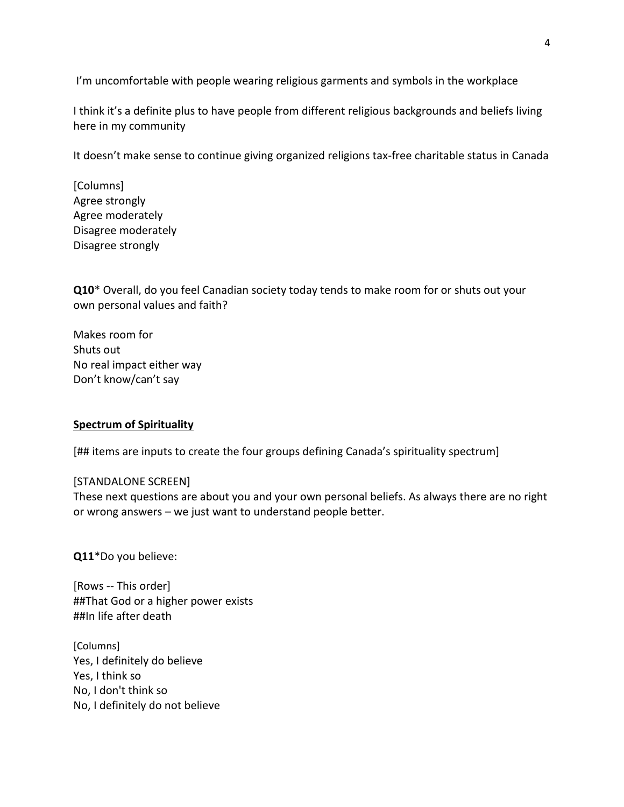I'm uncomfortable with people wearing religious garments and symbols in the workplace

I think it's a definite plus to have people from different religious backgrounds and beliefs living here in my community

It doesn't make sense to continue giving organized religions tax-free charitable status in Canada

[Columns] Agree strongly Agree moderately Disagree moderately Disagree strongly

**Q10**\* Overall, do you feel Canadian society today tends to make room for or shuts out your own personal values and faith?

Makes room for Shuts out No real impact either way Don't know/can't say

## **Spectrum of Spirituality**

[## items are inputs to create the four groups defining Canada's spirituality spectrum]

## [STANDALONE SCREEN]

These next questions are about you and your own personal beliefs. As always there are no right or wrong answers – we just want to understand people better.

**Q11**\*Do you believe:

[Rows -- This order] ##That God or a higher power exists ##In life after death

[Columns] Yes, I definitely do believe Yes, I think so No, I don't think so No, I definitely do not believe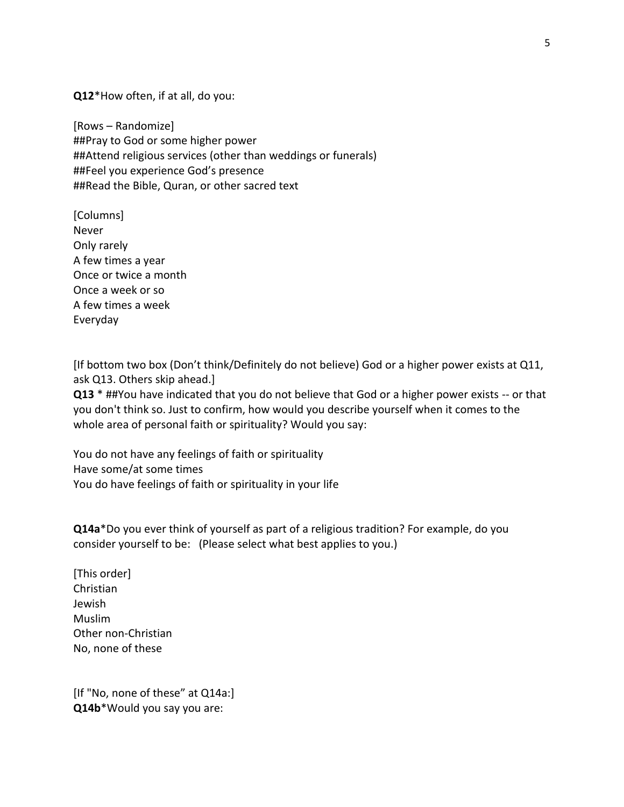**Q12**\*How often, if at all, do you:

[Rows – Randomize] ##Pray to God or some higher power ##Attend religious services (other than weddings or funerals) ##Feel you experience God's presence ##Read the Bible, Quran, or other sacred text

[Columns] Never Only rarely A few times a year Once or twice a month Once a week or so A few times a week Everyday

[If bottom two box (Don't think/Definitely do not believe) God or a higher power exists at Q11, ask Q13. Others skip ahead.]

**Q13** \* ##You have indicated that you do not believe that God or a higher power exists -- or that you don't think so. Just to confirm, how would you describe yourself when it comes to the whole area of personal faith or spirituality? Would you say:

You do not have any feelings of faith or spirituality Have some/at some times You do have feelings of faith or spirituality in your life

**Q14a**\*Do you ever think of yourself as part of a religious tradition? For example, do you consider yourself to be: (Please select what best applies to you.)

[This order] Christian Jewish Muslim Other non-Christian No, none of these

[If "No, none of these" at Q14a:] **Q14b**\*Would you say you are: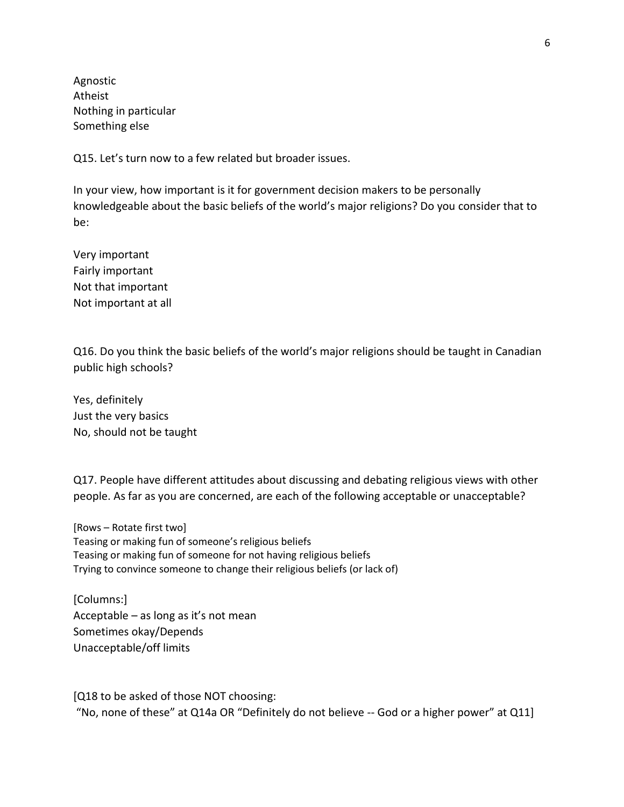Agnostic Atheist Nothing in particular Something else

Q15. Let's turn now to a few related but broader issues.

In your view, how important is it for government decision makers to be personally knowledgeable about the basic beliefs of the world's major religions? Do you consider that to be:

Very important Fairly important Not that important Not important at all

Q16. Do you think the basic beliefs of the world's major religions should be taught in Canadian public high schools?

Yes, definitely Just the very basics No, should not be taught

Q17. People have different attitudes about discussing and debating religious views with other people. As far as you are concerned, are each of the following acceptable or unacceptable?

[Rows – Rotate first two] Teasing or making fun of someone's religious beliefs Teasing or making fun of someone for not having religious beliefs Trying to convince someone to change their religious beliefs (or lack of)

[Columns:] Acceptable – as long as it's not mean Sometimes okay/Depends Unacceptable/off limits

[Q18 to be asked of those NOT choosing: "No, none of these" at Q14a OR "Definitely do not believe -- God or a higher power" at Q11]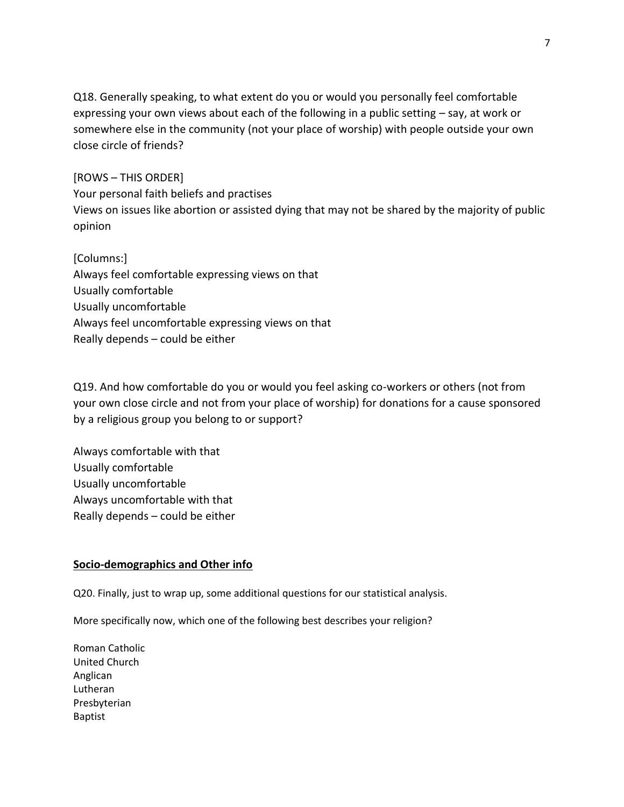Q18. Generally speaking, to what extent do you or would you personally feel comfortable expressing your own views about each of the following in a public setting – say, at work or somewhere else in the community (not your place of worship) with people outside your own close circle of friends?

[ROWS – THIS ORDER] Your personal faith beliefs and practises Views on issues like abortion or assisted dying that may not be shared by the majority of public opinion

[Columns:] Always feel comfortable expressing views on that Usually comfortable Usually uncomfortable Always feel uncomfortable expressing views on that Really depends – could be either

Q19. And how comfortable do you or would you feel asking co-workers or others (not from your own close circle and not from your place of worship) for donations for a cause sponsored by a religious group you belong to or support?

Always comfortable with that Usually comfortable Usually uncomfortable Always uncomfortable with that Really depends – could be either

## **Socio-demographics and Other info**

Q20. Finally, just to wrap up, some additional questions for our statistical analysis.

More specifically now, which one of the following best describes your religion?

Roman Catholic United Church Anglican Lutheran Presbyterian Baptist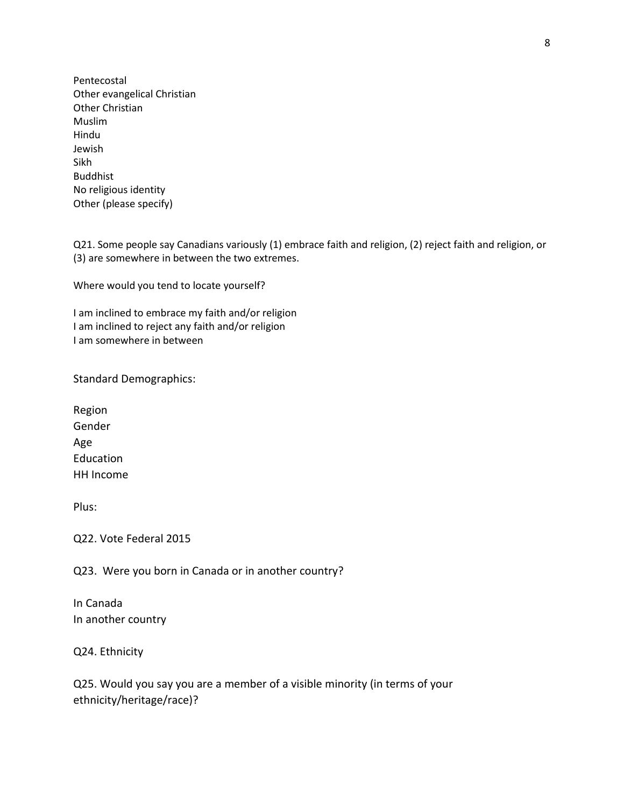Pentecostal Other evangelical Christian Other Christian Muslim Hindu Jewish Sikh Buddhist No religious identity Other (please specify)

Q21. Some people say Canadians variously (1) embrace faith and religion, (2) reject faith and religion, or (3) are somewhere in between the two extremes.

Where would you tend to locate yourself?

I am inclined to embrace my faith and/or religion I am inclined to reject any faith and/or religion I am somewhere in between

Standard Demographics:

Region Gender Age Education HH Income

Plus:

Q22. Vote Federal 2015

Q23. Were you born in Canada or in another country?

In Canada In another country

Q24. Ethnicity

Q25. Would you say you are a member of a visible minority (in terms of your ethnicity/heritage/race)?